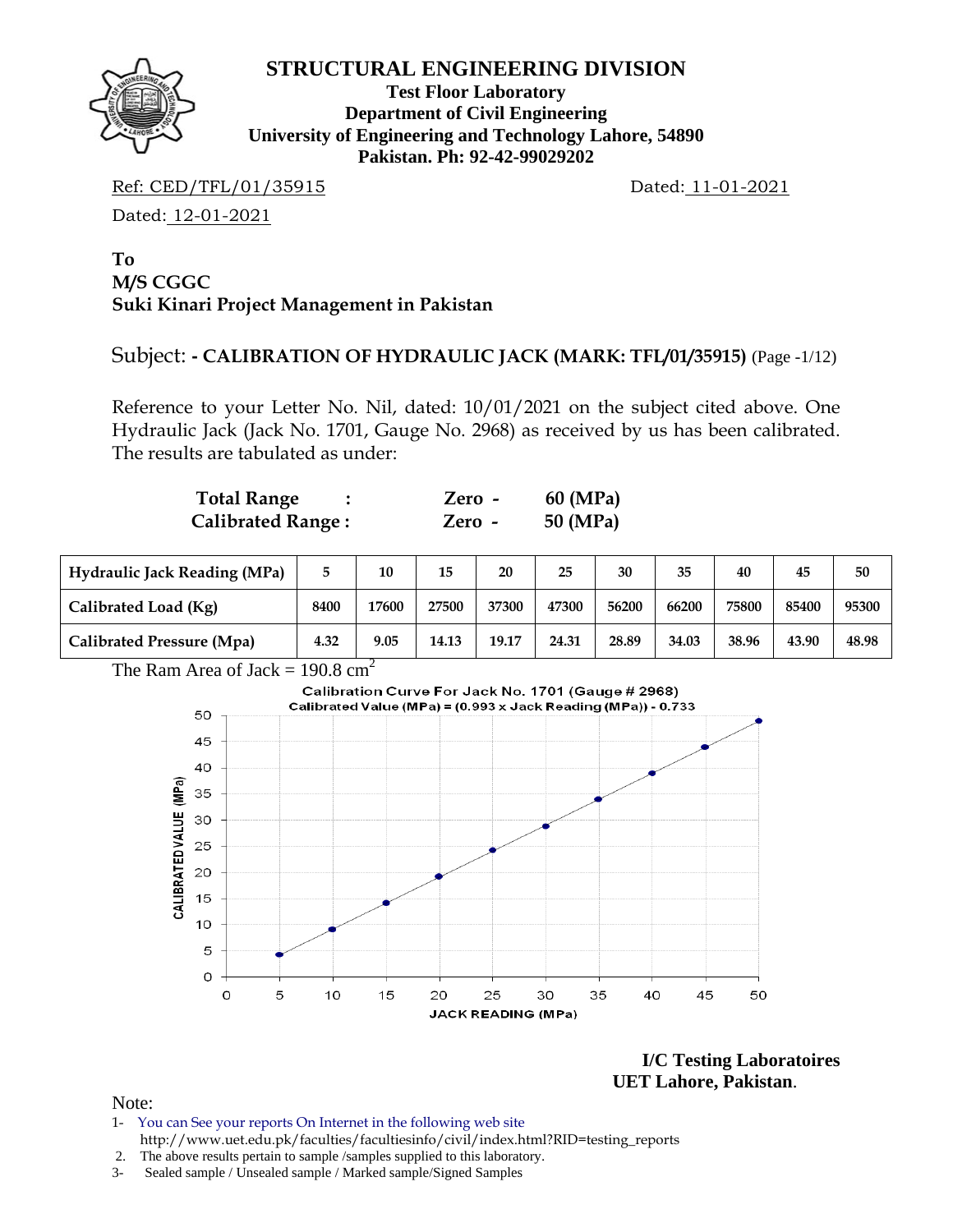

**Test Floor Laboratory Department of Civil Engineering University of Engineering and Technology Lahore, 54890 Pakistan. Ph: 92-42-99029202** 

Ref: CED/TFL/01/35915 Dated: 11-01-2021

Dated: 12-01-2021

### **To M/S CGGC Suki Kinari Project Management in Pakistan**

# Subject: **- CALIBRATION OF HYDRAULIC JACK (MARK: TFL/01/35915)** (Page -1/12)

Reference to your Letter No. Nil, dated: 10/01/2021 on the subject cited above. One Hydraulic Jack (Jack No. 1701, Gauge No. 2968) as received by us has been calibrated. The results are tabulated as under:

| <b>Total Range</b>       | $Zero -$ | 60 (MPa) |
|--------------------------|----------|----------|
| <b>Calibrated Range:</b> | $Zero -$ | 50 (MPa) |

| <b>Hydraulic Jack Reading (MPa)</b> |      | 10    | 15    | 20    | 25    | 30    | 35    | 40    | 45    | 50    |
|-------------------------------------|------|-------|-------|-------|-------|-------|-------|-------|-------|-------|
| Calibrated Load (Kg)                | 8400 | 17600 | 27500 | 37300 | 47300 | 56200 | 66200 | 75800 | 85400 | 95300 |
| Calibrated Pressure (Mpa)           | 4.32 | 9.05  | 14.13 | 19.17 | 24.31 | 28.89 | 34.03 | 38.96 | 43.90 | 48.98 |



**I/C Testing Laboratoires UET Lahore, Pakistan**.

- 1- You can See your reports On Internet in the following web site http://www.uet.edu.pk/faculties/facultiesinfo/civil/index.html?RID=testing\_reports
- 2. The above results pertain to sample /samples supplied to this laboratory.
- 3- Sealed sample / Unsealed sample / Marked sample/Signed Samples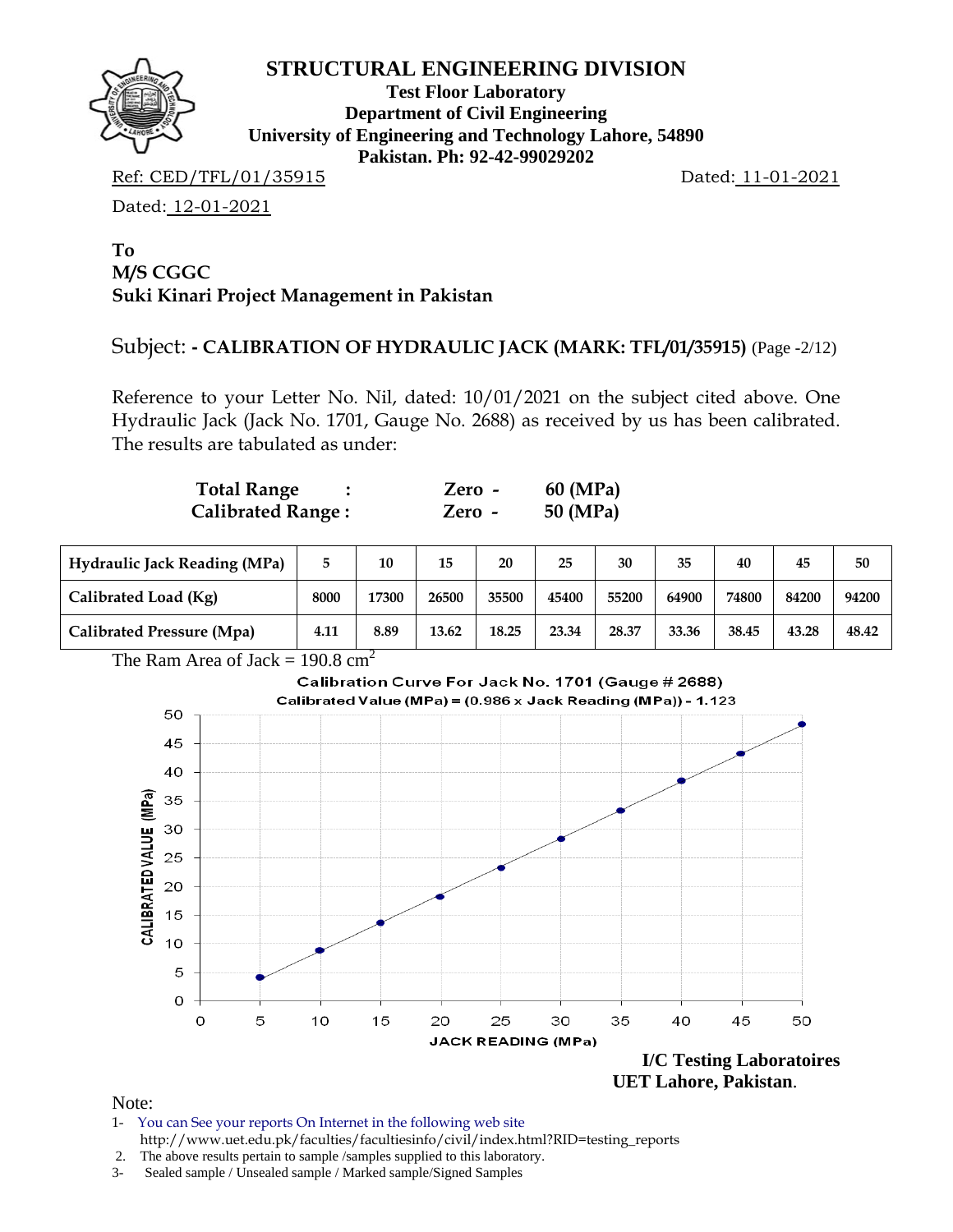

**Test Floor Laboratory Department of Civil Engineering University of Engineering and Technology Lahore, 54890 Pakistan. Ph: 92-42-99029202** 

Ref: CED/TFL/01/35915 Dated: 11-01-2021

Dated: 12-01-2021

### **To M/S CGGC Suki Kinari Project Management in Pakistan**

# Subject: **- CALIBRATION OF HYDRAULIC JACK (MARK: TFL/01/35915)** (Page -2/12)

Reference to your Letter No. Nil, dated: 10/01/2021 on the subject cited above. One Hydraulic Jack (Jack No. 1701, Gauge No. 2688) as received by us has been calibrated. The results are tabulated as under:

| <b>Total Range</b>       | Zero - | 60 (MPa) |
|--------------------------|--------|----------|
| <b>Calibrated Range:</b> | Zero - | 50 (MPa) |

| <b>Hydraulic Jack Reading (MPa)</b> |      | 10    | 15    | 20    | 25    | 30    | 35    | 40    | 45    | 50    |
|-------------------------------------|------|-------|-------|-------|-------|-------|-------|-------|-------|-------|
| Calibrated Load (Kg)                | 8000 | 17300 | 26500 | 35500 | 45400 | 55200 | 64900 | 74800 | 84200 | 94200 |
| Calibrated Pressure (Mpa)           | 4.11 | 8.89  | 13.62 | 18.25 | 23.34 | 28.37 | 33.36 | 38.45 | 43.28 | 48.42 |

The Ram Area of Jack =  $190.8 \text{ cm}^2$ 



- 1- You can See your reports On Internet in the following web site http://www.uet.edu.pk/faculties/facultiesinfo/civil/index.html?RID=testing\_reports
- 2. The above results pertain to sample /samples supplied to this laboratory.
- 3- Sealed sample / Unsealed sample / Marked sample/Signed Samples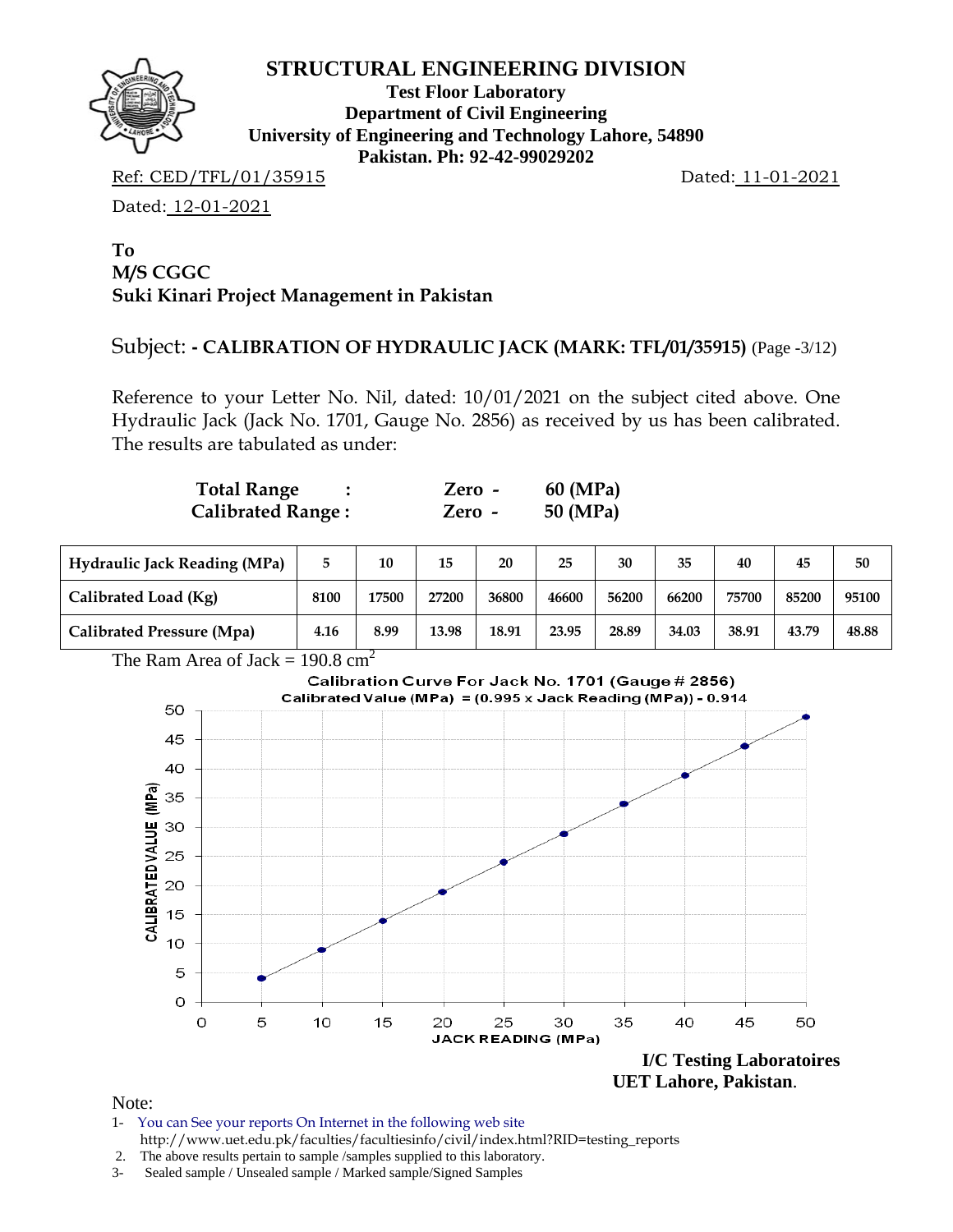

**Test Floor Laboratory Department of Civil Engineering University of Engineering and Technology Lahore, 54890 Pakistan. Ph: 92-42-99029202** 

Ref: CED/TFL/01/35915 Dated: 11-01-2021

Dated: 12-01-2021

### **To M/S CGGC Suki Kinari Project Management in Pakistan**

# Subject: **- CALIBRATION OF HYDRAULIC JACK (MARK: TFL/01/35915)** (Page -3/12)

Reference to your Letter No. Nil, dated: 10/01/2021 on the subject cited above. One Hydraulic Jack (Jack No. 1701, Gauge No. 2856) as received by us has been calibrated. The results are tabulated as under:

| <b>Total Range</b>       | Zero - | 60 (MPa) |
|--------------------------|--------|----------|
| <b>Calibrated Range:</b> | Zero - | 50 (MPa) |

| <b>Hydraulic Jack Reading (MPa)</b> |      | 10    | 15    | 20    | 25    | 30    | 35    | 40    | 45    | 50    |
|-------------------------------------|------|-------|-------|-------|-------|-------|-------|-------|-------|-------|
| Calibrated Load (Kg)                | 8100 | 17500 | 27200 | 36800 | 46600 | 56200 | 66200 | 75700 | 85200 | 95100 |
| Calibrated Pressure (Mpa)           | 4.16 | 8.99  | 13.98 | 18.91 | 23.95 | 28.89 | 34.03 | 38.91 | 43.79 | 48.88 |





Note:

1- You can See your reports On Internet in the following web site http://www.uet.edu.pk/faculties/facultiesinfo/civil/index.html?RID=testing\_reports

3- Sealed sample / Unsealed sample / Marked sample/Signed Samples

 <sup>2.</sup> The above results pertain to sample /samples supplied to this laboratory.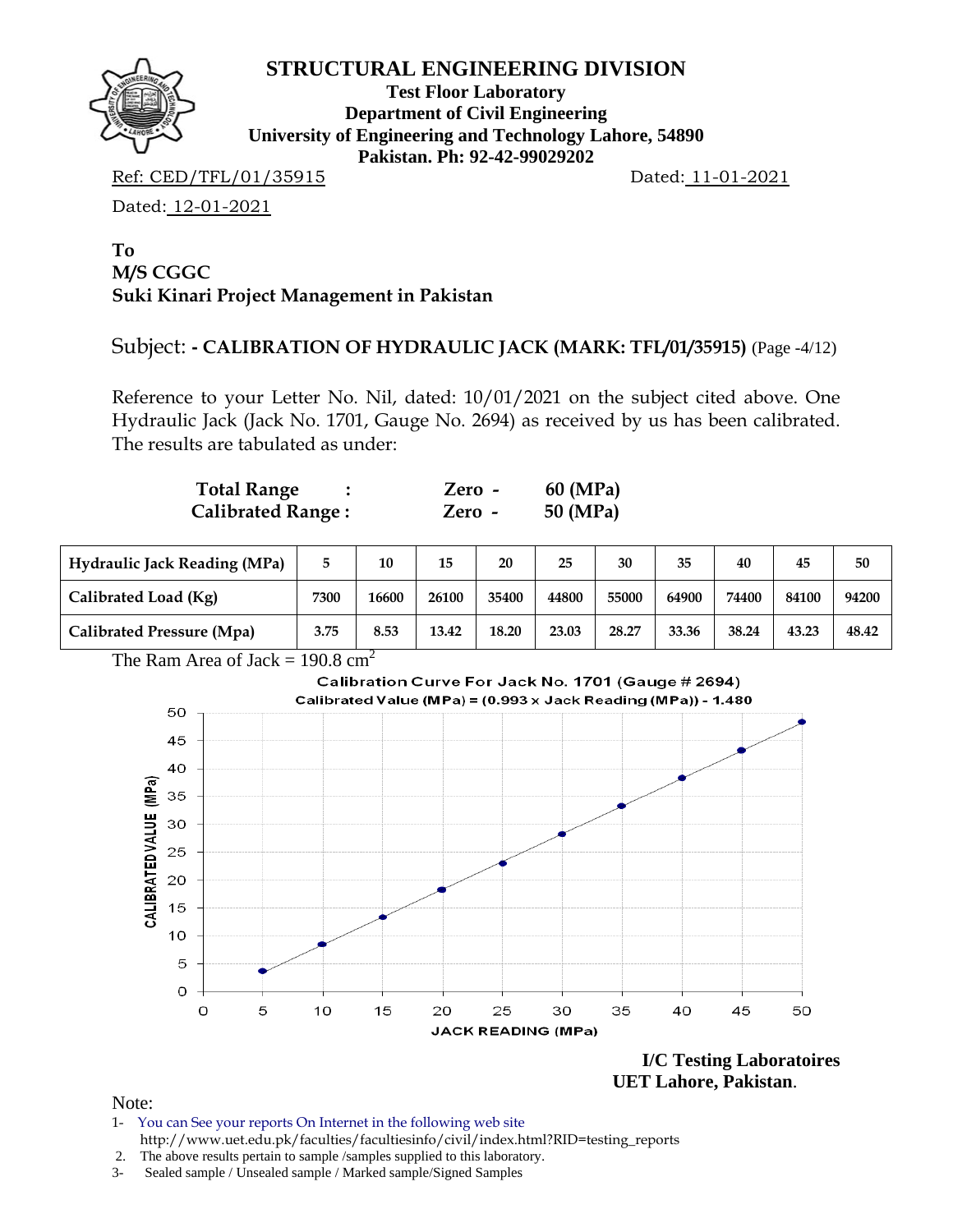

**Test Floor Laboratory Department of Civil Engineering University of Engineering and Technology Lahore, 54890 Pakistan. Ph: 92-42-99029202** 

Ref: CED/TFL/01/35915 Dated: 11-01-2021

Dated: 12-01-2021

### **To M/S CGGC Suki Kinari Project Management in Pakistan**

### Subject: **- CALIBRATION OF HYDRAULIC JACK (MARK: TFL/01/35915)** (Page -4/12)

Reference to your Letter No. Nil, dated: 10/01/2021 on the subject cited above. One Hydraulic Jack (Jack No. 1701, Gauge No. 2694) as received by us has been calibrated. The results are tabulated as under:

| <b>Total Range</b>       | Zero - | 60 (MPa) |
|--------------------------|--------|----------|
| <b>Calibrated Range:</b> | Zero - | 50 (MPa) |

| <b>Hydraulic Jack Reading (MPa)</b> |      | 10    | 15    | 20    | 25    | 30    | 35    | 40    | 45    | 50    |
|-------------------------------------|------|-------|-------|-------|-------|-------|-------|-------|-------|-------|
| Calibrated Load (Kg)                | 7300 | 16600 | 26100 | 35400 | 44800 | 55000 | 64900 | 74400 | 84100 | 94200 |
| Calibrated Pressure (Mpa)           | 3.75 | 8.53  | 13.42 | 18.20 | 23.03 | 28.27 | 33.36 | 38.24 | 43.23 | 48.42 |

The Ram Area of Jack =  $190.8 \text{ cm}^2$ 



**I/C Testing Laboratoires UET Lahore, Pakistan**.

- 1- You can See your reports On Internet in the following web site http://www.uet.edu.pk/faculties/facultiesinfo/civil/index.html?RID=testing\_reports
- 2. The above results pertain to sample /samples supplied to this laboratory.
- 3- Sealed sample / Unsealed sample / Marked sample/Signed Samples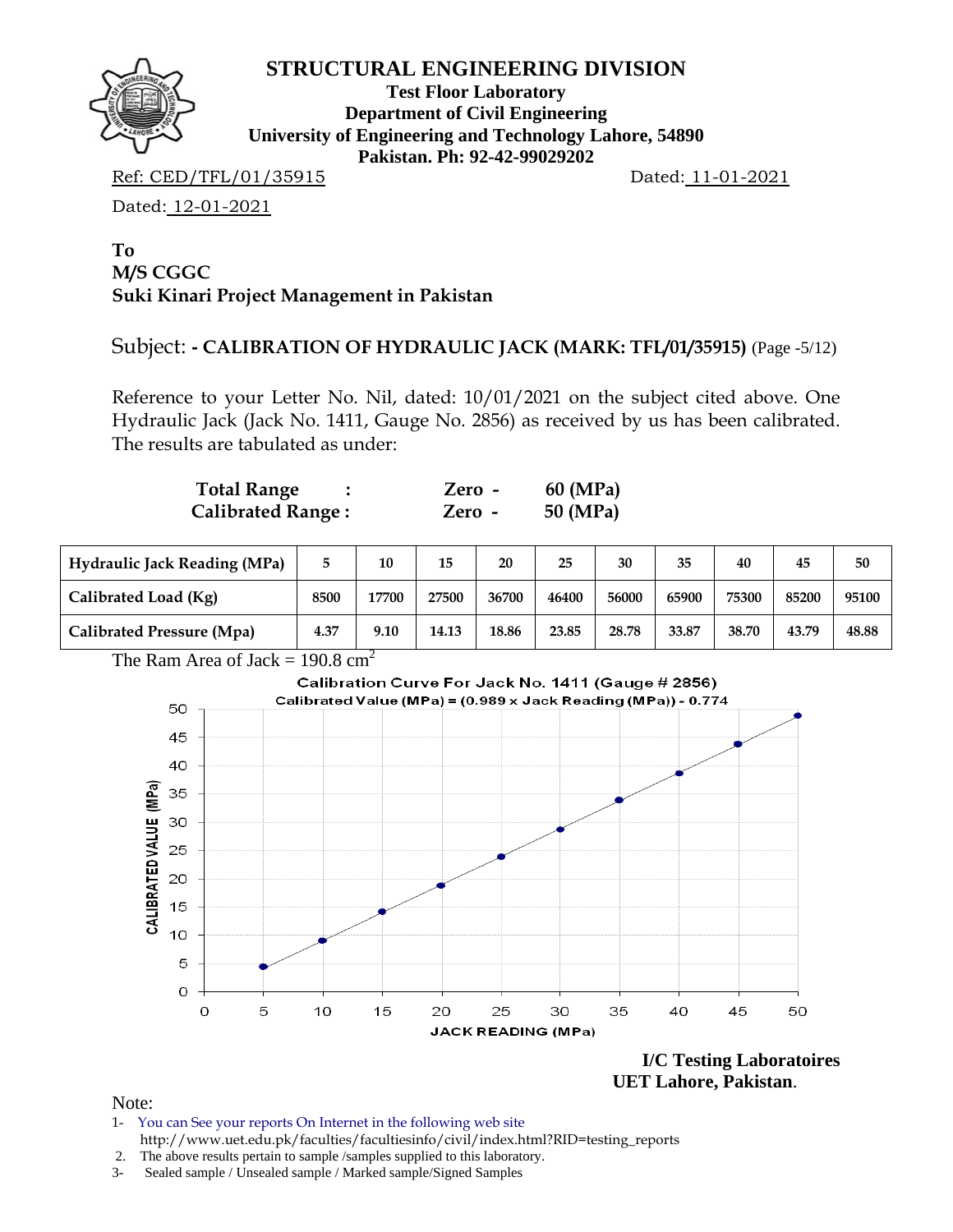

**Test Floor Laboratory Department of Civil Engineering University of Engineering and Technology Lahore, 54890 Pakistan. Ph: 92-42-99029202** 

Ref: CED/TFL/01/35915 Dated: 11-01-2021

Dated: 12-01-2021

### **To M/S CGGC Suki Kinari Project Management in Pakistan**

# Subject: **- CALIBRATION OF HYDRAULIC JACK (MARK: TFL/01/35915)** (Page -5/12)

Reference to your Letter No. Nil, dated: 10/01/2021 on the subject cited above. One Hydraulic Jack (Jack No. 1411, Gauge No. 2856) as received by us has been calibrated. The results are tabulated as under:

| <b>Total Range</b>       | Zero - | 60 (MPa) |
|--------------------------|--------|----------|
| <b>Calibrated Range:</b> | Zero - | 50 (MPa) |

| <b>Hydraulic Jack Reading (MPa)</b> |      | 10    | 15    | 20    | 25    | 30    | 35    | 40    | 45    | 50    |
|-------------------------------------|------|-------|-------|-------|-------|-------|-------|-------|-------|-------|
| Calibrated Load (Kg)                | 8500 | 17700 | 27500 | 36700 | 46400 | 56000 | 65900 | 75300 | 85200 | 95100 |
| Calibrated Pressure (Mpa)           | 4.37 | 9.10  | 14.13 | 18.86 | 23.85 | 28.78 | 33.87 | 38.70 | 43.79 | 48.88 |

The Ram Area of Jack =  $190.8 \text{ cm}^2$ 



**I/C Testing Laboratoires UET Lahore, Pakistan**.

- 1- You can See your reports On Internet in the following web site http://www.uet.edu.pk/faculties/facultiesinfo/civil/index.html?RID=testing\_reports
- 2. The above results pertain to sample /samples supplied to this laboratory.
- 3- Sealed sample / Unsealed sample / Marked sample/Signed Samples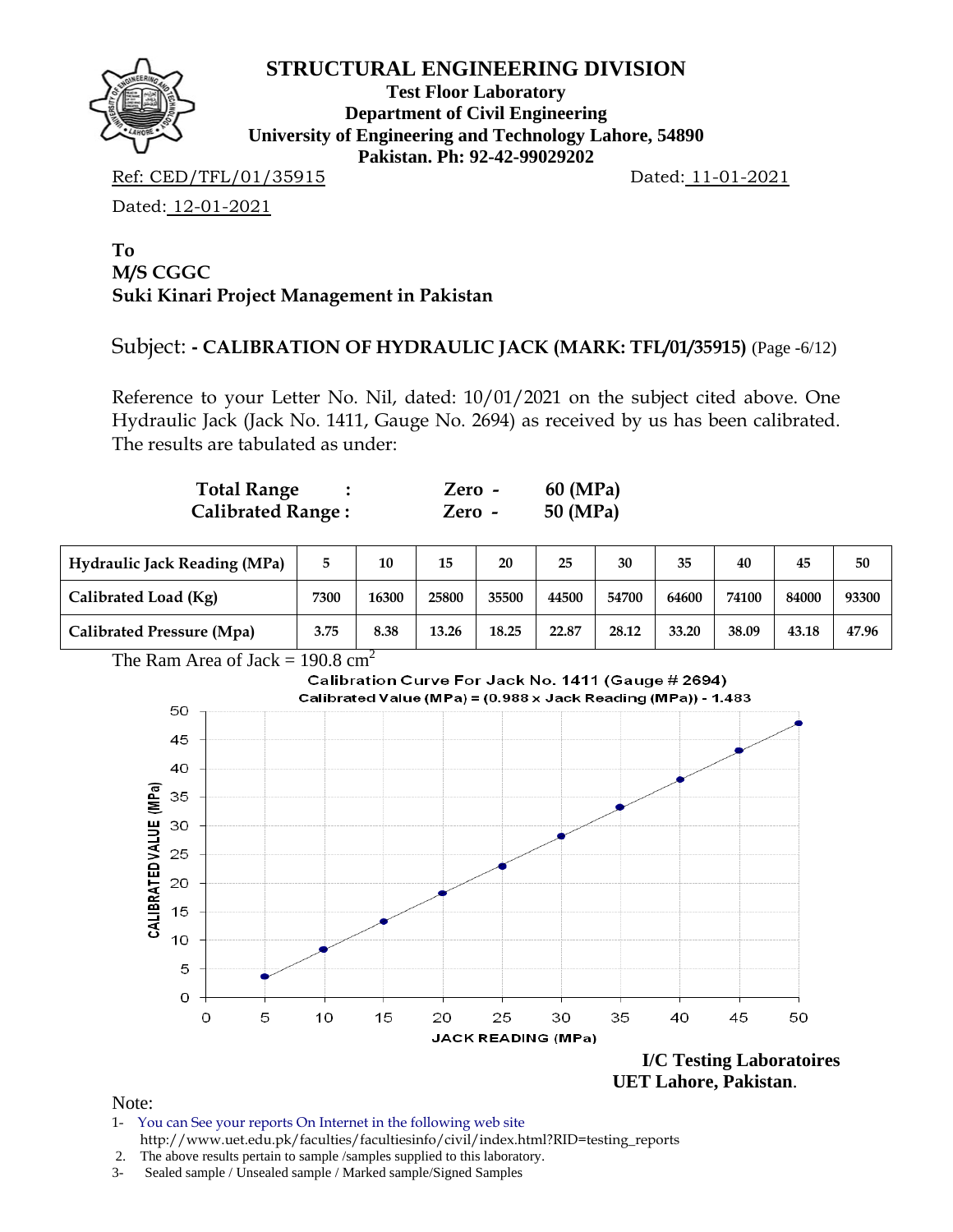

**Test Floor Laboratory Department of Civil Engineering University of Engineering and Technology Lahore, 54890 Pakistan. Ph: 92-42-99029202** 

Ref: CED/TFL/01/35915 Dated: 11-01-2021

Dated: 12-01-2021

### **To M/S CGGC Suki Kinari Project Management in Pakistan**

# Subject: **- CALIBRATION OF HYDRAULIC JACK (MARK: TFL/01/35915)** (Page -6/12)

Reference to your Letter No. Nil, dated: 10/01/2021 on the subject cited above. One Hydraulic Jack (Jack No. 1411, Gauge No. 2694) as received by us has been calibrated. The results are tabulated as under:

| <b>Total Range</b>       | Zero - | 60 (MPa) |
|--------------------------|--------|----------|
| <b>Calibrated Range:</b> | Zero - | 50 (MPa) |

| <b>Hydraulic Jack Reading (MPa)</b> |      | 10    | 15    | 20    | 25    | 30    | 35    | 40    | 45    | 50    |
|-------------------------------------|------|-------|-------|-------|-------|-------|-------|-------|-------|-------|
| Calibrated Load (Kg)                | 7300 | 16300 | 25800 | 35500 | 44500 | 54700 | 64600 | 74100 | 84000 | 93300 |
| Calibrated Pressure (Mpa)           | 3.75 | 8.38  | 13.26 | 18.25 | 22.87 | 28.12 | 33.20 | 38.09 | 43.18 | 47.96 |





 **UET Lahore, Pakistan**.

- 1- You can See your reports On Internet in the following web site http://www.uet.edu.pk/faculties/facultiesinfo/civil/index.html?RID=testing\_reports
- 2. The above results pertain to sample /samples supplied to this laboratory.
- 3- Sealed sample / Unsealed sample / Marked sample/Signed Samples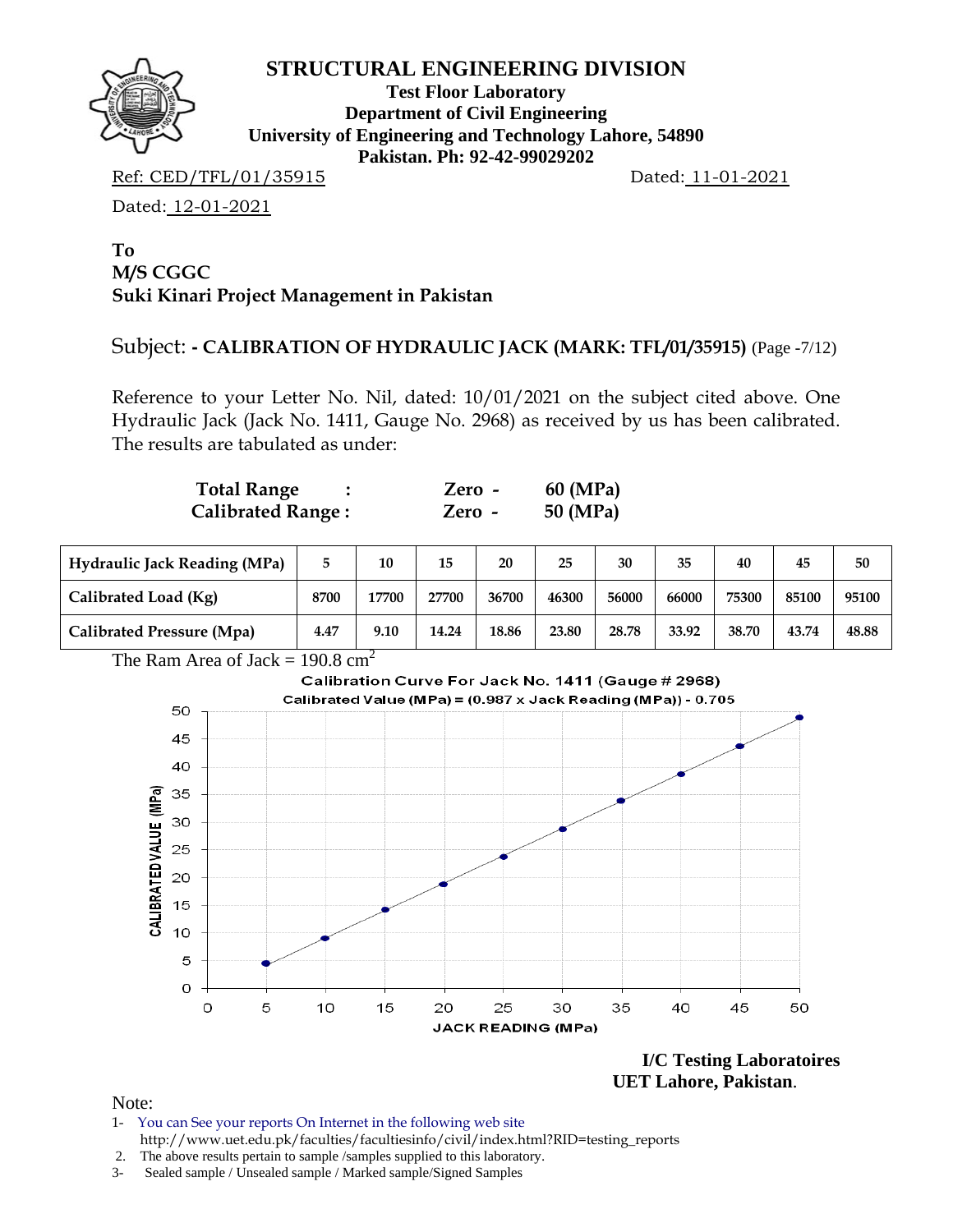

**Test Floor Laboratory Department of Civil Engineering University of Engineering and Technology Lahore, 54890 Pakistan. Ph: 92-42-99029202** 

Ref: CED/TFL/01/35915 Dated: 11-01-2021

Dated: 12-01-2021

### **To M/S CGGC Suki Kinari Project Management in Pakistan**

# Subject: **- CALIBRATION OF HYDRAULIC JACK (MARK: TFL/01/35915)** (Page -7/12)

Reference to your Letter No. Nil, dated: 10/01/2021 on the subject cited above. One Hydraulic Jack (Jack No. 1411, Gauge No. 2968) as received by us has been calibrated. The results are tabulated as under:

| <b>Total Range</b>       | Zero - | 60 (MPa) |
|--------------------------|--------|----------|
| <b>Calibrated Range:</b> | Zero - | 50 (MPa) |

| <b>Hydraulic Jack Reading (MPa)</b> |      | 10    | 15    | 20    | 25    | 30    | 35    | 40    | 45    | 50    |
|-------------------------------------|------|-------|-------|-------|-------|-------|-------|-------|-------|-------|
| Calibrated Load (Kg)                | 8700 | 17700 | 27700 | 36700 | 46300 | 56000 | 66000 | 75300 | 85100 | 95100 |
| <b>Calibrated Pressure (Mpa)</b>    | 4.47 | 9.10  | 14.24 | 18.86 | 23.80 | 28.78 | 33.92 | 38.70 | 43.74 | 48.88 |





**I/C Testing Laboratoires UET Lahore, Pakistan**.

- 1- You can See your reports On Internet in the following web site http://www.uet.edu.pk/faculties/facultiesinfo/civil/index.html?RID=testing\_reports
- 2. The above results pertain to sample /samples supplied to this laboratory.
- 3- Sealed sample / Unsealed sample / Marked sample/Signed Samples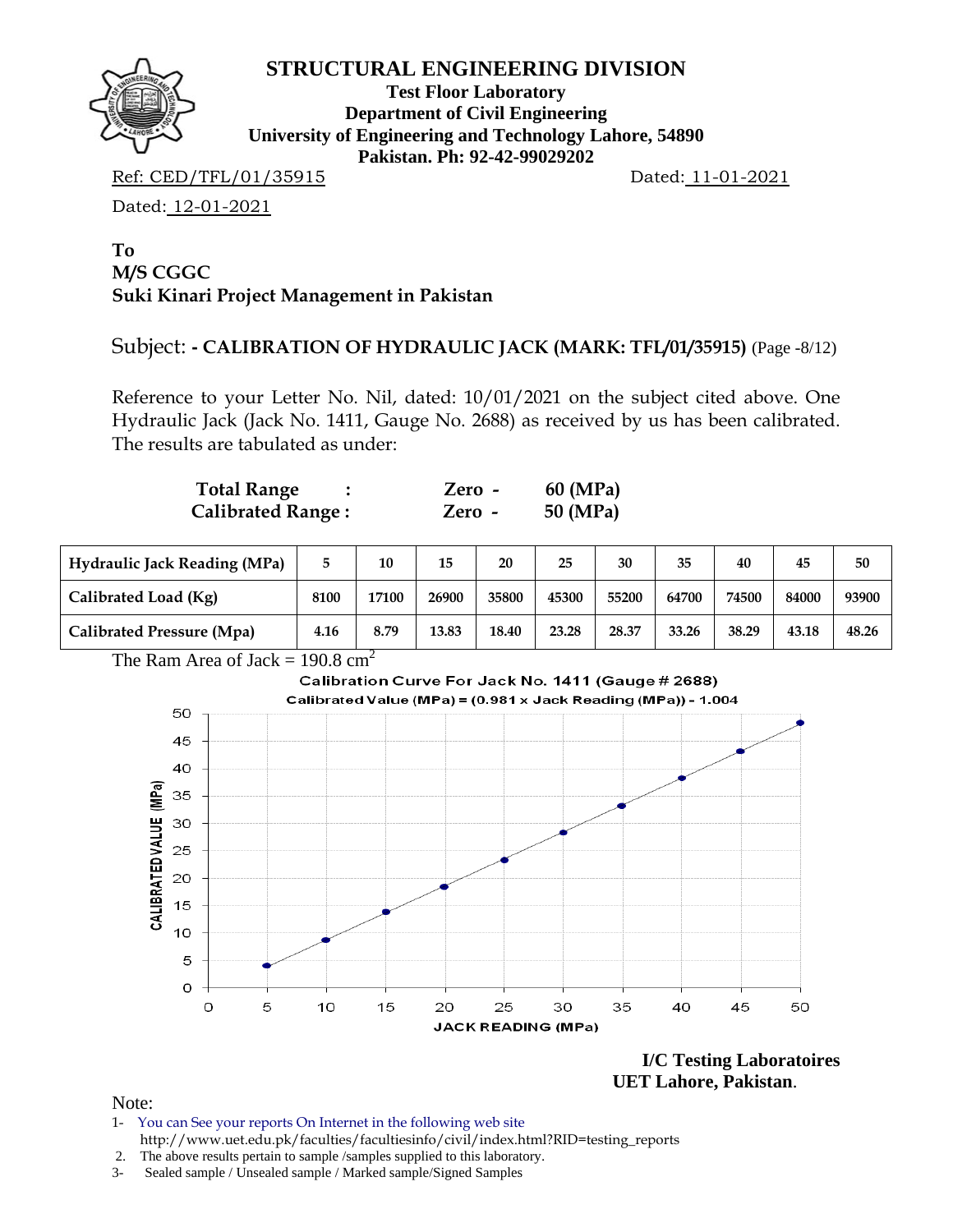

**Test Floor Laboratory Department of Civil Engineering University of Engineering and Technology Lahore, 54890 Pakistan. Ph: 92-42-99029202** 

Ref: CED/TFL/01/35915 Dated: 11-01-2021

Dated: 12-01-2021

### **To M/S CGGC Suki Kinari Project Management in Pakistan**

### Subject: **- CALIBRATION OF HYDRAULIC JACK (MARK: TFL/01/35915)** (Page -8/12)

Reference to your Letter No. Nil, dated: 10/01/2021 on the subject cited above. One Hydraulic Jack (Jack No. 1411, Gauge No. 2688) as received by us has been calibrated. The results are tabulated as under:

| <b>Total Range</b>       | Zero - | 60 (MPa) |
|--------------------------|--------|----------|
| <b>Calibrated Range:</b> | Zero - | 50 (MPa) |

| <b>Hydraulic Jack Reading (MPa)</b> |      | 10    | 15    | 20    | 25    | 30    | 35    | 40    | 45    | 50    |
|-------------------------------------|------|-------|-------|-------|-------|-------|-------|-------|-------|-------|
| Calibrated Load (Kg)                | 8100 | 17100 | 26900 | 35800 | 45300 | 55200 | 64700 | 74500 | 84000 | 93900 |
| Calibrated Pressure (Mpa)           | 4.16 | 8.79  | 13.83 | 18.40 | 23.28 | 28.37 | 33.26 | 38.29 | 43.18 | 48.26 |





**I/C Testing Laboratoires UET Lahore, Pakistan**.

- 1- You can See your reports On Internet in the following web site http://www.uet.edu.pk/faculties/facultiesinfo/civil/index.html?RID=testing\_reports
- 2. The above results pertain to sample /samples supplied to this laboratory.
- 3- Sealed sample / Unsealed sample / Marked sample/Signed Samples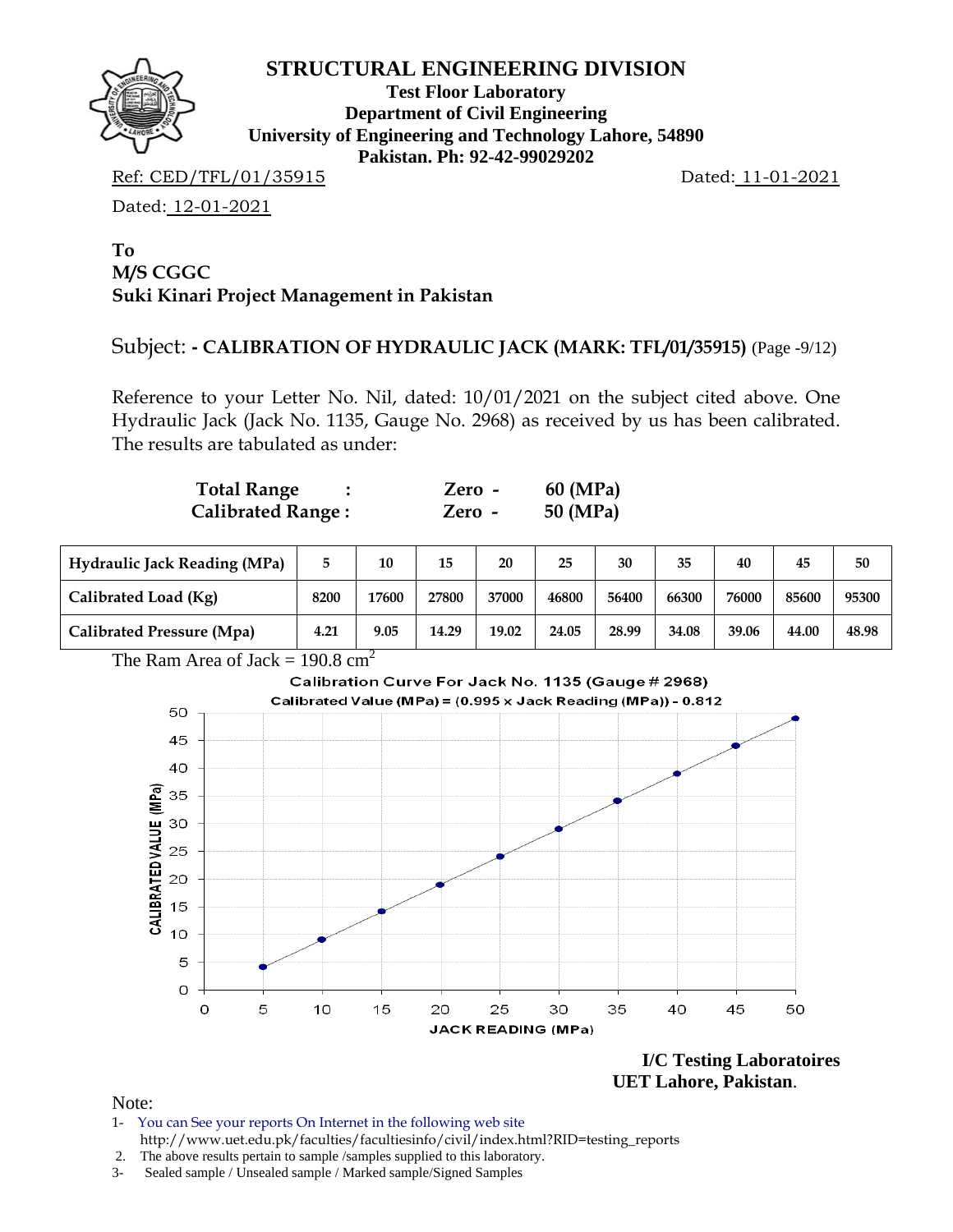

**Test Floor Laboratory Department of Civil Engineering University of Engineering and Technology Lahore, 54890 Pakistan. Ph: 92-42-99029202** 

Ref: CED/TFL/01/35915 Dated: 11-01-2021

Dated: 12-01-2021

#### **To M/S CGGC Suki Kinari Project Management in Pakistan**

# Subject: **- CALIBRATION OF HYDRAULIC JACK (MARK: TFL/01/35915)** (Page -9/12)

Reference to your Letter No. Nil, dated: 10/01/2021 on the subject cited above. One Hydraulic Jack (Jack No. 1135, Gauge No. 2968) as received by us has been calibrated. The results are tabulated as under:

| <b>Total Range</b>       | Zero - | 60 (MPa) |
|--------------------------|--------|----------|
| <b>Calibrated Range:</b> | Zero - | 50 (MPa) |

| <b>Hydraulic Jack Reading (MPa)</b> |      | 10    | 15    | 20    | 25    | 30    | 35    | 40    | 45    | 50    |
|-------------------------------------|------|-------|-------|-------|-------|-------|-------|-------|-------|-------|
| Calibrated Load (Kg)                | 8200 | 17600 | 27800 | 37000 | 46800 | 56400 | 66300 | 76000 | 85600 | 95300 |
| Calibrated Pressure (Mpa)           | 4.21 | 9.05  | 14.29 | 19.02 | 24.05 | 28.99 | 34.08 | 39.06 | 44.00 | 48.98 |

The Ram Area of Jack =  $190.8 \text{ cm}^2$ 



**I/C Testing Laboratoires UET Lahore, Pakistan**.

- 1- You can See your reports On Internet in the following web site http://www.uet.edu.pk/faculties/facultiesinfo/civil/index.html?RID=testing\_reports
- 2. The above results pertain to sample /samples supplied to this laboratory.
- 3- Sealed sample / Unsealed sample / Marked sample/Signed Samples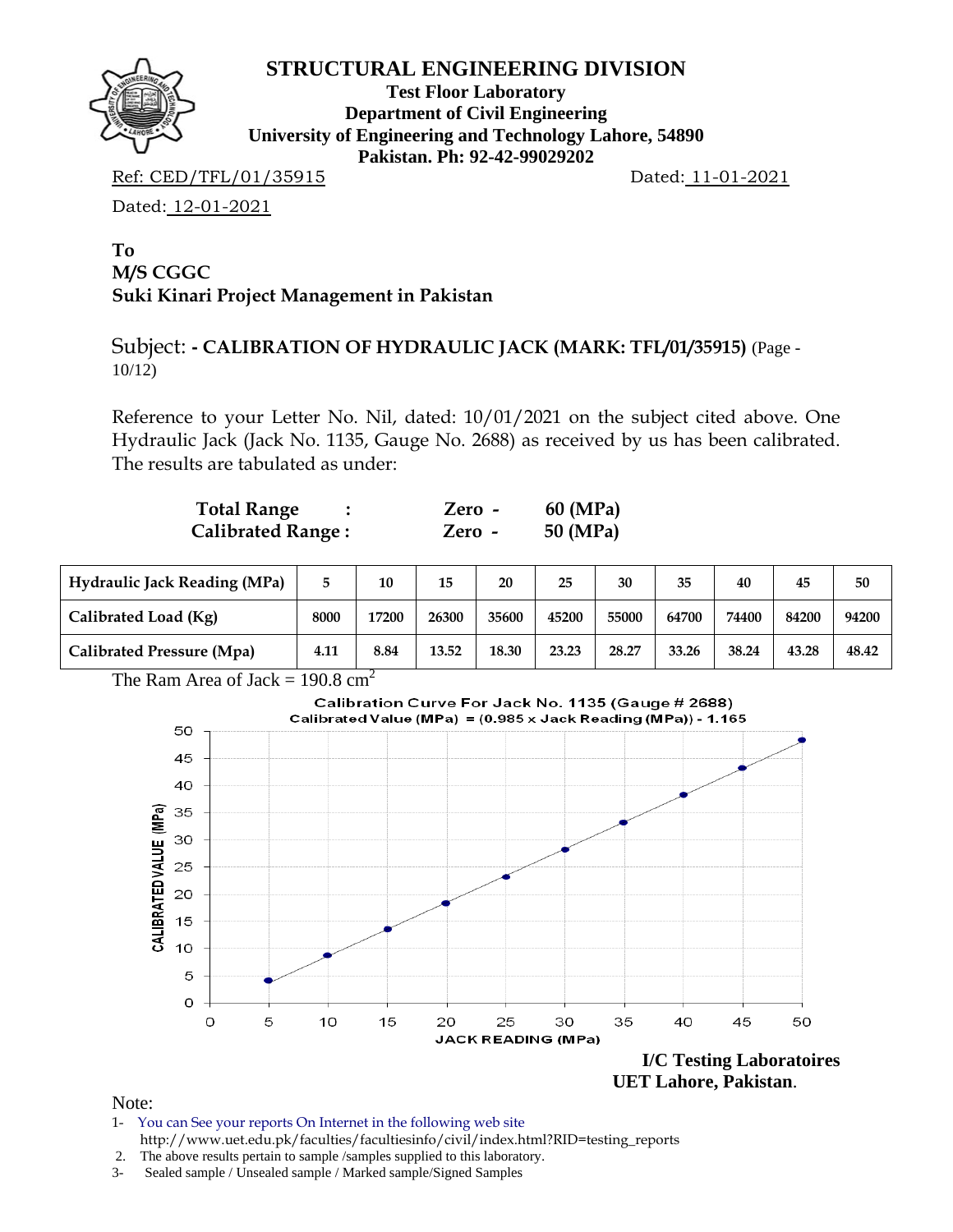

**Test Floor Laboratory Department of Civil Engineering University of Engineering and Technology Lahore, 54890 Pakistan. Ph: 92-42-99029202** 

Ref: CED/TFL/01/35915 Dated: 11-01-2021

Dated: 12-01-2021

### **To M/S CGGC Suki Kinari Project Management in Pakistan**

# Subject: **- CALIBRATION OF HYDRAULIC JACK (MARK: TFL/01/35915)** (Page - 10/12)

Reference to your Letter No. Nil, dated: 10/01/2021 on the subject cited above. One Hydraulic Jack (Jack No. 1135, Gauge No. 2688) as received by us has been calibrated. The results are tabulated as under:

| <b>Total Range</b>       | Zero -   | 60 (MPa) |
|--------------------------|----------|----------|
| <b>Calibrated Range:</b> | $Zero -$ | 50 (MPa) |

| <b>Hydraulic Jack Reading (MPa)</b> |      | 10    | 15    | 20    | 25    | 30    | 35    | 40    | 45    | 50    |
|-------------------------------------|------|-------|-------|-------|-------|-------|-------|-------|-------|-------|
| Calibrated Load (Kg)                | 8000 | 17200 | 26300 | 35600 | 45200 | 55000 | 64700 | 74400 | 84200 | 94200 |
| <b>Calibrated Pressure (Mpa)</b>    | 4.11 | 8.84  | 13.52 | 18.30 | 23.23 | 28.27 | 33.26 | 38.24 | 43.28 | 48.42 |

The Ram Area of Jack =  $190.8 \text{ cm}^2$ 



 **UET Lahore, Pakistan**.

- 1- You can See your reports On Internet in the following web site http://www.uet.edu.pk/faculties/facultiesinfo/civil/index.html?RID=testing\_reports
- 2. The above results pertain to sample /samples supplied to this laboratory.
- 3- Sealed sample / Unsealed sample / Marked sample/Signed Samples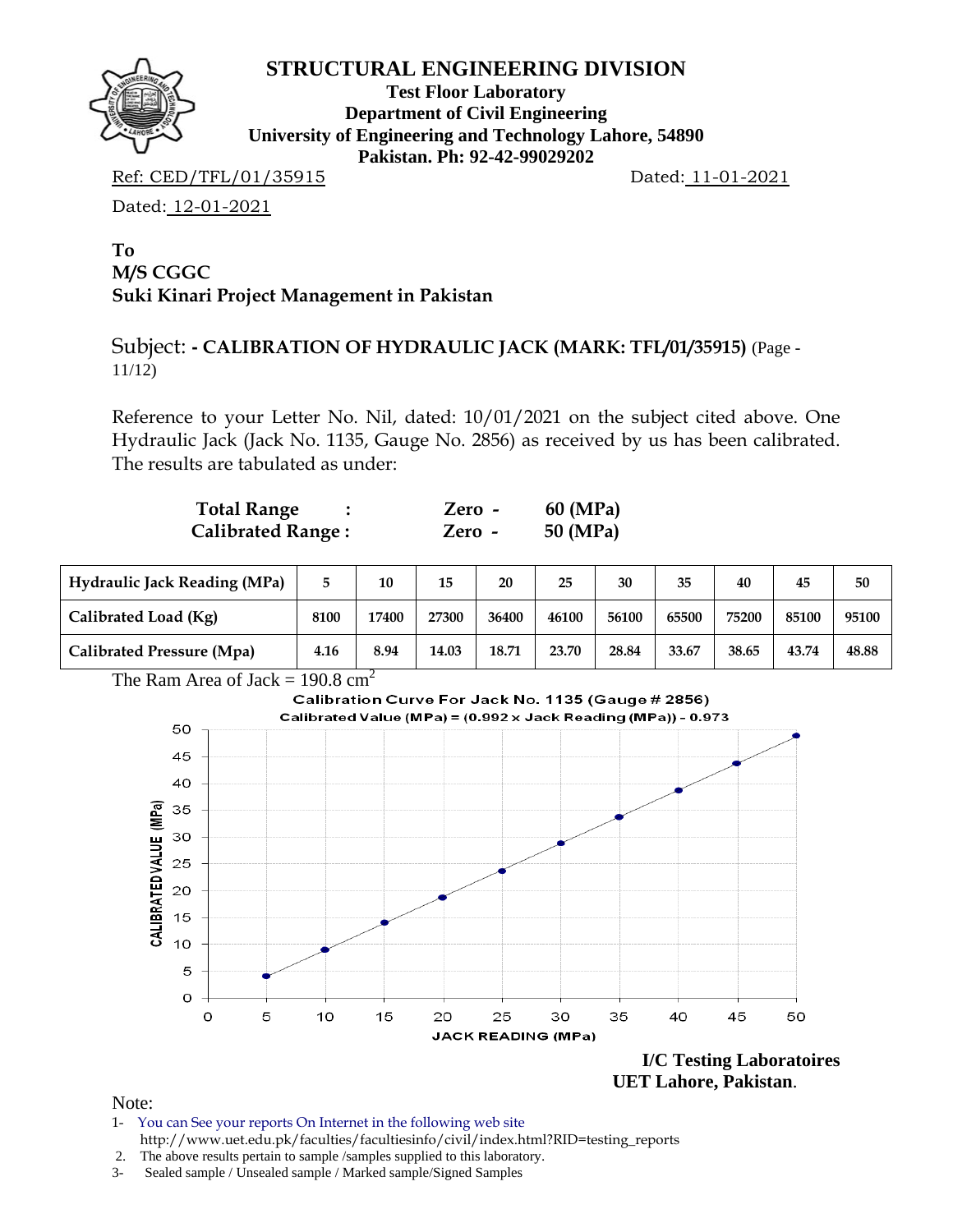

**Test Floor Laboratory Department of Civil Engineering University of Engineering and Technology Lahore, 54890 Pakistan. Ph: 92-42-99029202** 

Ref: CED/TFL/01/35915 Dated: 11-01-2021

Dated: 12-01-2021

### **To M/S CGGC Suki Kinari Project Management in Pakistan**

# Subject: **- CALIBRATION OF HYDRAULIC JACK (MARK: TFL/01/35915)** (Page - 11/12)

Reference to your Letter No. Nil, dated: 10/01/2021 on the subject cited above. One Hydraulic Jack (Jack No. 1135, Gauge No. 2856) as received by us has been calibrated. The results are tabulated as under:

| <b>Total Range</b>       | Zero -   | 60 (MPa) |
|--------------------------|----------|----------|
| <b>Calibrated Range:</b> | $Zero -$ | 50 (MPa) |

| <b>Hydraulic Jack Reading (MPa)</b> | 5.   | 10    | 15    | 20    | 25    | 30    | 35    | 40    | 45    | 50    |
|-------------------------------------|------|-------|-------|-------|-------|-------|-------|-------|-------|-------|
| Calibrated Load (Kg)                | 8100 | 17400 | 27300 | 36400 | 46100 | 56100 | 65500 | 75200 | 85100 | 95100 |
| Calibrated Pressure (Mpa)           | 4.16 | 8.94  | 14.03 | 18.71 | 23.70 | 28.84 | 33.67 | 38.65 | 43.74 | 48.88 |





 **UET Lahore, Pakistan**.

- 1- You can See your reports On Internet in the following web site http://www.uet.edu.pk/faculties/facultiesinfo/civil/index.html?RID=testing\_reports
- 2. The above results pertain to sample /samples supplied to this laboratory.
- 3- Sealed sample / Unsealed sample / Marked sample/Signed Samples